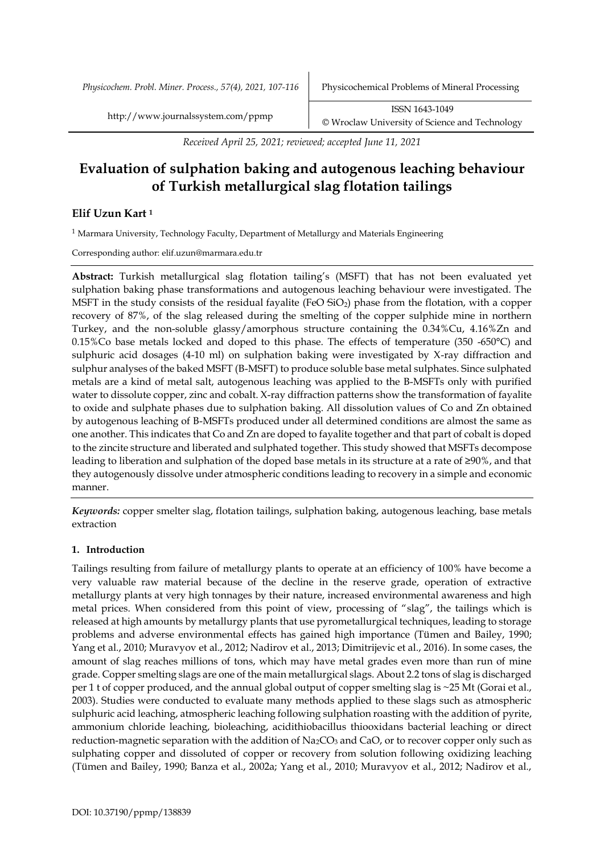*Physicochem. Probl. Miner. Process., 57(4), 2021, 107-116* Physicochemical Problems of Mineral Processing

*Received April 25, 2021; reviewed; accepted June 11, 2021*

# **Evaluation of sulphation baking and autogenous leaching behaviour of Turkish metallurgical slag flotation tailings**

# **Elif Uzun Kart <sup>1</sup>**

<sup>1</sup> Marmara University, Technology Faculty, Department of Metallurgy and Materials Engineering

Corresponding author: elif.uzun@marmara.edu.tr

**Abstract:** Turkish metallurgical slag flotation tailing's (MSFT) that has not been evaluated yet sulphation baking phase transformations and autogenous leaching behaviour were investigated. The MSFT in the study consists of the residual fayalite (FeO  $SiO<sub>2</sub>$ ) phase from the flotation, with a copper recovery of 87%, of the slag released during the smelting of the copper sulphide mine in northern Turkey, and the non-soluble glassy/amorphous structure containing the 0.34%Cu, 4.16%Zn and 0.15%Co base metals locked and doped to this phase. The effects of temperature (350 -650 $^{\circ}$ C) and sulphuric acid dosages (4-10 ml) on sulphation baking were investigated by X-ray diffraction and sulphur analyses of the baked MSFT (B-MSFT) to produce soluble base metal sulphates. Since sulphated metals are a kind of metal salt, autogenous leaching was applied to the B-MSFTs only with purified water to dissolute copper, zinc and cobalt. X-ray diffraction patterns show the transformation of fayalite to oxide and sulphate phases due to sulphation baking. All dissolution values of Co and Zn obtained by autogenous leaching of B-MSFTs produced under all determined conditions are almost the same as one another. This indicates that Co and Zn are doped to fayalite together and that part of cobalt is doped to the zincite structure and liberated and sulphated together. This study showed that MSFTs decompose leading to liberation and sulphation of the doped base metals in its structure at a rate of ≥90%, and that they autogenously dissolve under atmospheric conditions leading to recovery in a simple and economic manner.

*Keywords:* copper smelter slag, flotation tailings, sulphation baking, autogenous leaching, base metals extraction

## **1. Introduction**

Tailings resulting from failure of metallurgy plants to operate at an efficiency of 100% have become a very valuable raw material because of the decline in the reserve grade, operation of extractive metallurgy plants at very high tonnages by their nature, increased environmental awareness and high metal prices. When considered from this point of view, processing of "slag", the tailings which is released at high amounts by metallurgy plants that use pyrometallurgical techniques, leading to storage problems and adverse environmental effects has gained high importance (Tümen and Bailey, 1990; Yang et al., 2010; Muravyov et al., 2012; Nadirov et al., 2013; Dimitrijevic et al., 2016). In some cases, the amount of slag reaches millions of tons, which may have metal grades even more than run of mine grade. Copper smelting slags are one of the main metallurgical slags. About 2.2 tons of slag is discharged per 1 t of copper produced, and the annual global output of copper smelting slag is ~25 Mt (Gorai et al., 2003). Studies were conducted to evaluate many methods applied to these slags such as atmospheric sulphuric acid leaching, atmospheric leaching following sulphation roasting with the addition of pyrite, ammonium chloride leaching, bioleaching, acidithiobacillus thiooxidans bacterial leaching or direct reduction-magnetic separation with the addition of  $Na_2CO_3$  and CaO, or to recover copper only such as sulphating copper and dissoluted of copper or recovery from solution following oxidizing leaching (Tümen and Bailey, 1990; Banza et al., 2002a; Yang et al., 2010; Muravyov et al., 2012; Nadirov et al.,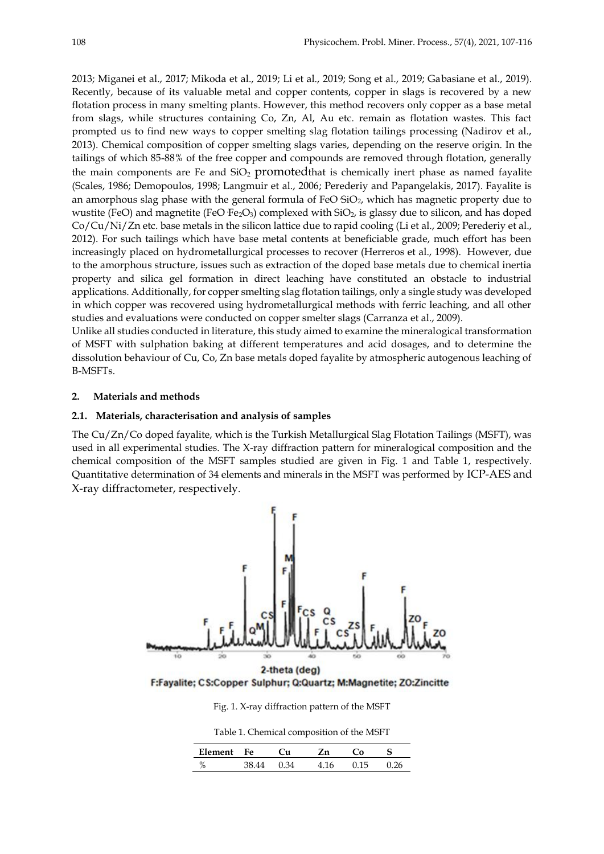2013; Miganei et al., 2017; Mikoda et al., 2019; Li et al., 2019; Song et al., 2019; Gabasiane et al., 2019). Recently, because of its valuable metal and copper contents, copper in slags is recovered by a new flotation process in many smelting plants. However, this method recovers only copper as a base metal from slags, while structures containing Co, Zn, Al, Au etc. remain as flotation wastes. This fact prompted us to find new ways to copper smelting slag flotation tailings processing (Nadirov et al., 2013). Chemical composition of copper smelting slags varies, depending on the reserve origin. In the tailings of which 85-88% of the free copper and compounds are removed through flotation, generally the main components are Fe and  $SiO<sub>2</sub>$  promoted that is chemically inert phase as named fayalite (Scales, 1986; Demopoulos, 1998; Langmuir et al., 2006; Perederiy and Papangelakis, 2017). Fayalite is an amorphous slag phase with the general formula of FeO  $SiO<sub>2</sub>$ , which has magnetic property due to wustite (FeO) and magnetite (FeO·Fe<sub>2</sub>O<sub>3</sub>) complexed with  $SiO<sub>2</sub>$ , is glassy due to silicon, and has doped Co/Cu/Ni/Zn etc. base metals in the silicon lattice due to rapid cooling (Li et al., 2009; Perederiy et al., 2012). For such tailings which have base metal contents at beneficiable grade, much effort has been increasingly placed on hydrometallurgical processes to recover (Herreros et al., 1998). However, due to the amorphous structure, issues such as extraction of the doped base metals due to chemical inertia property and silica gel formation in direct leaching have constituted an obstacle to industrial applications. Additionally, for copper smelting slag flotation tailings, only a single study was developed in which copper was recovered using hydrometallurgical methods with ferric leaching, and all other studies and evaluations were conducted on copper smelter slags (Carranza et al., 2009).

Unlike all studies conducted in literature, this study aimed to examine the mineralogical transformation of MSFT with sulphation baking at different temperatures and acid dosages, and to determine the dissolution behaviour of Cu, Co, Zn base metals doped fayalite by atmospheric autogenous leaching of B-MSFTs.

## **2. Materials and methods**

## **2.1. Materials, characterisation and analysis of samples**

The Cu/Zn/Co doped fayalite, which is the Turkish Metallurgical Slag Flotation Tailings (MSFT), was used in all experimental studies. The X-ray diffraction pattern for mineralogical composition and the chemical composition of the MSFT samples studied are given in Fig. 1 and Table 1, respectively. Quantitative determination of 34 elements and minerals in the MSFT was performed by ICP-AES and X-ray diffractometer, respectively.



F:Fayalite; CS:Copper Sulphur; Q:Quartz; M:Magnetite; ZO:Zincitte

Fig. 1. X-ray diffraction pattern of the MSFT

Table 1. Chemical composition of the MSFT

| Element             | Fe | ้น |       |  |
|---------------------|----|----|-------|--|
| $\mathbf{O}/$<br>70 |    | 34 | 0 1 E |  |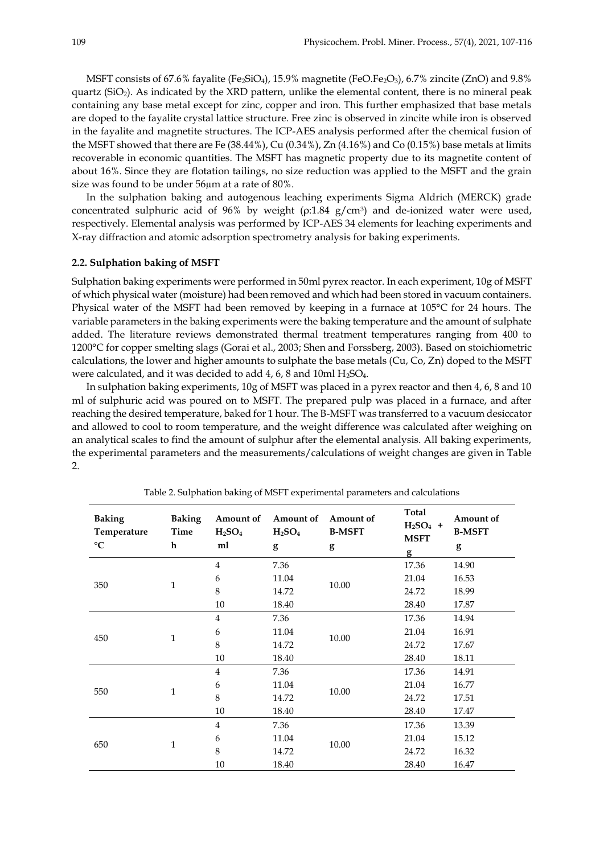MSFT consists of 67.6% fayalite (Fe $_2$ SiO<sub>4</sub>), 15.9% magnetite (FeO.Fe $_2$ O<sub>3</sub>), 6.7% zincite (ZnO) and 9.8% quartz (SiO2). As indicated by the XRD pattern, unlike the elemental content, there is no mineral peak containing any base metal except for zinc, copper and iron. This further emphasized that base metals are doped to the fayalite crystal lattice structure. Free zinc is observed in zincite while iron is observed in the fayalite and magnetite structures. The ICP-AES analysis performed after the chemical fusion of the MSFT showed that there are Fe (38.44%), Cu (0.34%), Zn (4.16%) and Co (0.15%) base metals at limits recoverable in economic quantities. The MSFT has magnetic property due to its magnetite content of about 16%. Since they are flotation tailings, no size reduction was applied to the MSFT and the grain size was found to be under 56µm at a rate of 80%.

In the sulphation baking and autogenous leaching experiments Sigma Aldrich (MERCK) grade concentrated sulphuric acid of 96% by weight ( $p:1.84 \text{ g/cm}^3$ ) and de-ionized water were used, respectively. Elemental analysis was performed by ICP-AES 34 elements for leaching experiments and X-ray diffraction and atomic adsorption spectrometry analysis for baking experiments.

## **2.2. Sulphation baking of MSFT**

Sulphation baking experiments were performed in 50ml pyrex reactor. In each experiment, 10g of MSFT of which physical water (moisture) had been removed and which had been stored in vacuum containers. Physical water of the MSFT had been removed by keeping in a furnace at 105°C for 24 hours. The variable parameters in the baking experiments were the baking temperature and the amount of sulphate added. The literature reviews demonstrated thermal treatment temperatures ranging from 400 to 1200°C for copper smelting slags (Gorai et al., 2003; Shen and Forssberg, 2003). Based on stoichiometric calculations, the lower and higher amounts to sulphate the base metals (Cu, Co, Zn) doped to the MSFT were calculated, and it was decided to add 4, 6, 8 and 10ml H<sub>2</sub>SO<sub>4</sub>.

In sulphation baking experiments, 10g of MSFT was placed in a pyrex reactor and then 4, 6, 8 and 10 ml of sulphuric acid was poured on to MSFT. The prepared pulp was placed in a furnace, and after reaching the desired temperature, baked for 1 hour. The B-MSFT was transferred to a vacuum desiccator and allowed to cool to room temperature, and the weight difference was calculated after weighing on an analytical scales to find the amount of sulphur after the elemental analysis. All baking experiments, the experimental parameters and the measurements/calculations of weight changes are given in Table 2.

| <b>Baking</b><br>Temperature<br>$\rm ^{\circ}C$ | <b>Baking</b><br>Time<br>h | Amount of<br>H <sub>2</sub> SO <sub>4</sub><br>ml | Amount of<br>H <sub>2</sub> SO <sub>4</sub><br>g | Amount of<br><b>B-MSFT</b><br>g | Total<br>$H2SO4$ +<br><b>MSFT</b><br>g | Amount of<br><b>B-MSFT</b><br>g |
|-------------------------------------------------|----------------------------|---------------------------------------------------|--------------------------------------------------|---------------------------------|----------------------------------------|---------------------------------|
| 350                                             | $\mathbf{1}$               | $\overline{4}$                                    | 7.36                                             | 10.00                           | 17.36                                  | 14.90                           |
|                                                 |                            | 6                                                 | 11.04                                            |                                 | 21.04                                  | 16.53                           |
|                                                 |                            | 8                                                 | 14.72                                            |                                 | 24.72                                  | 18.99                           |
|                                                 |                            | 10                                                | 18.40                                            |                                 | 28.40                                  | 17.87                           |
| 450                                             | $\mathbf{1}$               | $\overline{4}$                                    | 7.36                                             | 10.00                           | 17.36                                  | 14.94                           |
|                                                 |                            | 6                                                 | 11.04                                            |                                 | 21.04                                  | 16.91                           |
|                                                 |                            | 8                                                 | 14.72                                            |                                 | 24.72                                  | 17.67                           |
|                                                 |                            | 10                                                | 18.40                                            |                                 | 28.40                                  | 18.11                           |
| 550                                             | $\mathbf{1}$               | $\overline{4}$                                    | 7.36                                             | 10.00                           | 17.36                                  | 14.91                           |
|                                                 |                            | 6                                                 | 11.04                                            |                                 | 21.04                                  | 16.77                           |
|                                                 |                            | 8                                                 | 14.72                                            |                                 | 24.72                                  | 17.51                           |
|                                                 |                            | 10                                                | 18.40                                            |                                 | 28.40                                  | 17.47                           |
| 650                                             | $\mathbf{1}$               | $\overline{4}$                                    | 7.36                                             | 10.00                           | 17.36                                  | 13.39                           |
|                                                 |                            | 6                                                 | 11.04                                            |                                 | 21.04                                  | 15.12                           |
|                                                 |                            | 8                                                 | 14.72                                            |                                 | 24.72                                  | 16.32                           |
|                                                 |                            | 10                                                | 18.40                                            |                                 | 28.40                                  | 16.47                           |

Table 2. Sulphation baking of MSFT experimental parameters and calculations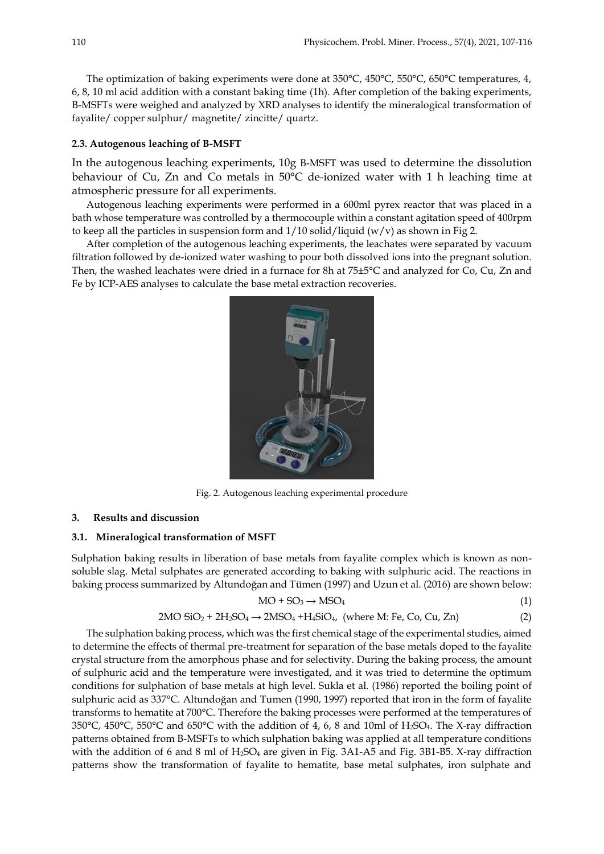The optimization of baking experiments were done at 350°C, 450°C, 550°C, 650°C temperatures, 4, 6, 8, 10 ml acid addition with a constant baking time (1h). After completion of the baking experiments, B-MSFTs were weighed and analyzed by XRD analyses to identify the mineralogical transformation of fayalite/ copper sulphur/ magnetite/ zincitte/ quartz.

### **2.3. Autogenous leaching of B-MSFT**

In the autogenous leaching experiments, 10g B-MSFT was used to determine the dissolution behaviour of Cu, Zn and Co metals in 50°C de-ionized water with 1 h leaching time at atmospheric pressure for all experiments.

Autogenous leaching experiments were performed in a 600ml pyrex reactor that was placed in a bath whose temperature was controlled by a thermocouple within a constant agitation speed of 400rpm to keep all the particles in suspension form and  $1/10$  solid/liquid (w/v) as shown in Fig 2.

After completion of the autogenous leaching experiments, the leachates were separated by vacuum filtration followed by de-ionized water washing to pour both dissolved ions into the pregnant solution. Then, the washed leachates were dried in a furnace for 8h at 75±5°C and analyzed for Co, Cu, Zn and Fe by ICP-AES analyses to calculate the base metal extraction recoveries.



Fig. 2. Autogenous leaching experimental procedure

#### **3. Results and discussion**

## **3.1. Mineralogical transformation of MSFT**

Sulphation baking results in liberation of base metals from fayalite complex which is known as nonsoluble slag. Metal sulphates are generated according to baking with sulphuric acid. The reactions in baking process summarized by Altundoğan and Tümen (1997) and Uzun et al. (2016) are shown below:

$$
MO + SO_3 \to MSO_4 \tag{1}
$$

$$
2MO SiO2 + 2H2SO4 \rightarrow 2MSO4 + H4SiO4, (where M: Fe, Co, Cu, Zn)
$$
 (2)

The sulphation baking process, which was the first chemical stage of the experimental studies, aimed to determine the effects of thermal pre-treatment for separation of the base metals doped to the fayalite crystal structure from the amorphous phase and for selectivity. During the baking process, the amount of sulphuric acid and the temperature were investigated, and it was tried to determine the optimum conditions for sulphation of base metals at high level. Sukla et al. (1986) reported the boiling point of sulphuric acid as 337°C. Altundoğan and Tumen (1990, 1997) reported that iron in the form of fayalite transforms to hematite at 700°C. Therefore the baking processes were performed at the temperatures of 350°C, 450°C, 550°C and 650°C with the addition of 4, 6, 8 and 10ml of H2SO4. The X-ray diffraction patterns obtained from B-MSFTs to which sulphation baking was applied at all temperature conditions with the addition of 6 and 8 ml of H<sub>2</sub>SO<sub>4</sub> are given in Fig. 3A1-A5 and Fig. 3B1-B5. X-ray diffraction patterns show the transformation of fayalite to hematite, base metal sulphates, iron sulphate and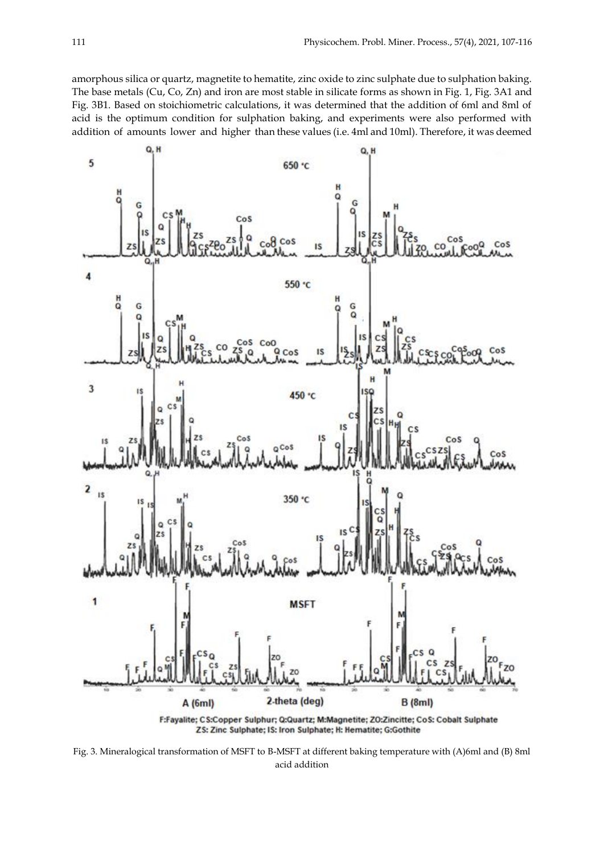amorphous silica or quartz, magnetite to hematite, zinc oxide to zinc sulphate due to sulphation baking. The base metals (Cu, Co, Zn) and iron are most stable in silicate forms as shown in Fig. 1, Fig. 3A1 and Fig. 3B1. Based on stoichiometric calculations, it was determined that the addition of 6ml and 8ml of acid is the optimum condition for sulphation baking, and experiments were also performed with addition of amounts lower and higher than these values (i.e. 4ml and 10ml). Therefore, it was deemed



F:Fayalite; CS:Copper Sulphur; Q:Quartz; M:Magnetite; ZO:Zincitte; CoS: Cobalt Sulphate ZS: Zinc Sulphate; IS: Iron Sulphate; H: Hematite; G:Gothite

Fig. 3. Mineralogical transformation of MSFT to B-MSFT at different baking temperature with (A)6ml and (B) 8ml acid addition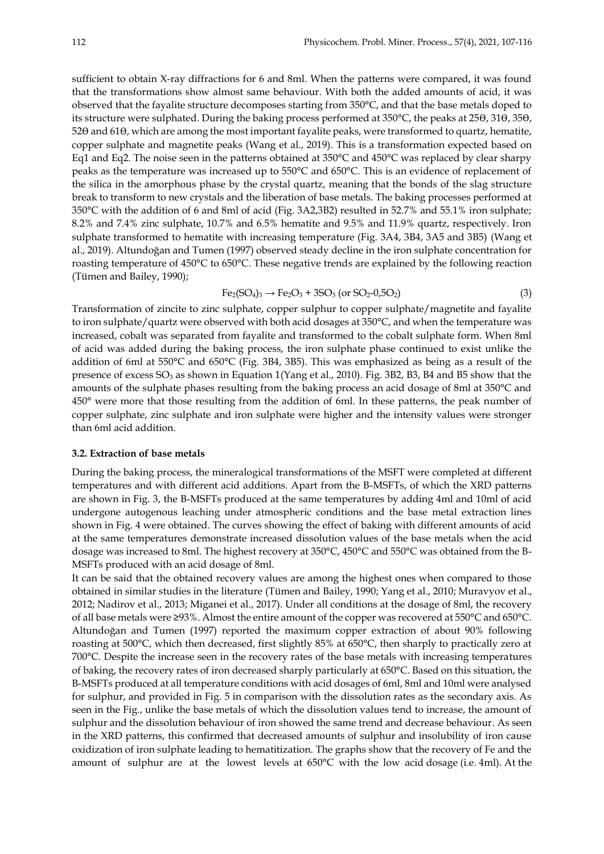sufficient to obtain X-ray diffractions for 6 and 8ml. When the patterns were compared, it was found that the transformations show almost same behaviour. With both the added amounts of acid, it was observed that the fayalite structure decomposes starting from 350°C, and that the base metals doped to its structure were sulphated. During the baking process performed at  $350^{\circ}$ C, the peaks at  $25\theta$ ,  $31\theta$ ,  $35\theta$ , 520 and 610, which are among the most important fayalite peaks, were transformed to quartz, hematite, copper sulphate and magnetite peaks (Wang et al., 2019). This is a transformation expected based on Eq1 and Eq2. The noise seen in the patterns obtained at 350°C and 450°C was replaced by clear sharpy peaks as the temperature was increased up to 550°C and 650°C. This is an evidence of replacement of the silica in the amorphous phase by the crystal quartz, meaning that the bonds of the slag structure break to transform to new crystals and the liberation of base metals. The baking processes performed at 350°C with the addition of 6 and 8ml of acid (Fig. 3A2,3B2) resulted in 52.7% and 55.1% iron sulphate; 8.2% and 7.4% zinc sulphate, 10.7% and 6.5% hematite and 9.5% and 11.9% quartz, respectively. Iron sulphate transformed to hematite with increasing temperature (Fig. 3A4, 3B4, 3A5 and 3B5) (Wang et al., 2019). Altundoğan and Tumen (1997) observed steady decline in the iron sulphate concentration for roasting temperature of 450°C to 650°C. These negative trends are explained by the following reaction (Tümen and Bailey, 1990);

$$
Fe_2(SO_4)_3 \to Fe_2O_3 + 3SO_3 \text{ (or } SO_2-0,5O_2)
$$
 (3)

Transformation of zincite to zinc sulphate, copper sulphur to copper sulphate/magnetite and fayalite to iron sulphate/quartz were observed with both acid dosages at 350°C, and when the temperature was increased, cobalt was separated from fayalite and transformed to the cobalt sulphate form. When 8ml of acid was added during the baking process, the iron sulphate phase continued to exist unlike the addition of 6ml at 550°C and 650°C (Fig. 3B4, 3B5). This was emphasized as being as a result of the presence of excess  $SO_3$  as shown in Equation 1(Yang et al., 2010). Fig. 3B2, B3, B4 and B5 show that the amounts of the sulphate phases resulting from the baking process an acid dosage of 8ml at 350°C and 450° were more that those resulting from the addition of 6ml. In these patterns, the peak number of copper sulphate, zinc sulphate and iron sulphate were higher and the intensity values were stronger than 6ml acid addition.

## **3.2. Extraction of base metals**

During the baking process, the mineralogical transformations of the MSFT were completed at different temperatures and with different acid additions. Apart from the B-MSFTs, of which the XRD patterns are shown in Fig. 3, the B-MSFTs produced at the same temperatures by adding 4ml and 10ml of acid undergone autogenous leaching under atmospheric conditions and the base metal extraction lines shown in Fig. 4 were obtained. The curves showing the effect of baking with different amounts of acid at the same temperatures demonstrate increased dissolution values of the base metals when the acid dosage was increased to 8ml. The highest recovery at 350°C, 450°C and 550°C was obtained from the B-MSFTs produced with an acid dosage of 8ml.

It can be said that the obtained recovery values are among the highest ones when compared to those obtained in similar studies in the literature (Tümen and Bailey, 1990; Yang et al., 2010; Muravyov et al., 2012; Nadirov et al., 2013; Miganei et al., 2017). Under all conditions at the dosage of 8ml, the recovery of all base metals were ≥93%. Almost the entire amount of the copper was recovered at 550°C and 650°C. Altundoğan and Tumen (1997) reported the maximum copper extraction of about 90% following roasting at 500°C, which then decreased, first slightly 85% at 650°C, then sharply to practically zero at 700°C. Despite the increase seen in the recovery rates of the base metals with increasing temperatures of baking, the recovery rates of iron decreased sharply particularly at 650°C. Based on this situation, the B-MSFTs produced at all temperature conditions with acid dosages of 6ml, 8ml and 10ml were analysed for sulphur, and provided in Fig. 5 in comparison with the dissolution rates as the secondary axis. As seen in the Fig., unlike the base metals of which the dissolution values tend to increase, the amount of sulphur and the dissolution behaviour of iron showed the same trend and decrease behaviour. As seen in the XRD patterns, this confirmed that decreased amounts of sulphur and insolubility of iron cause oxidization of iron sulphate leading to hematitization. The graphs show that the recovery of Fe and the amount of sulphur are at the lowest levels at 650°C with the low acid dosage (i.e. 4ml). At the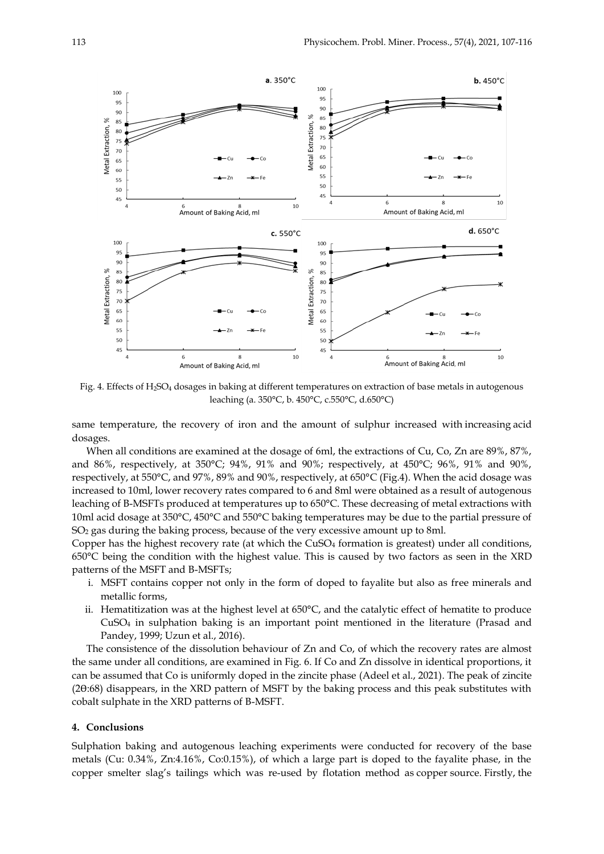

Fig. 4. Effects of H2SO<sup>4</sup> dosages in baking at different temperatures on extraction of base metals in autogenous leaching (a. 350°C, b. 450°C, c.550°C, d.650°C)

same temperature, the recovery of iron and the amount of sulphur increased with increasing acid dosages.

When all conditions are examined at the dosage of 6ml, the extractions of Cu, Co, Zn are 89%, 87%, and 86%, respectively, at 350°C; 94%, 91% and 90%; respectively, at 450°C; 96%, 91% and 90%, respectively, at 550°C, and 97%, 89% and 90%, respectively, at 650°C (Fig.4). When the acid dosage was increased to 10ml, lower recovery rates compared to 6 and 8ml were obtained as a result of autogenous leaching of B-MSFTs produced at temperatures up to 650°C. These decreasing of metal extractions with 10ml acid dosage at 350°C, 450°C and 550°C baking temperatures may be due to the partial pressure of SO<sup>2</sup> gas during the baking process, because of the very excessive amount up to 8ml.

Copper has the highest recovery rate (at which the CuSO<sup>4</sup> formation is greatest) under all conditions, 650°C being the condition with the highest value. This is caused by two factors as seen in the XRD patterns of the MSFT and B-MSFTs;

- i. MSFT contains copper not only in the form of doped to fayalite but also as free minerals and metallic forms,
- ii. Hematitization was at the highest level at 650°C, and the catalytic effect of hematite to produce  $CuSO<sub>4</sub>$  in sulphation baking is an important point mentioned in the literature (Prasad and Pandey, 1999; Uzun et al., 2016).

The consistence of the dissolution behaviour of Zn and Co, of which the recovery rates are almost the same under all conditions, are examined in Fig. 6. If Co and Zn dissolve in identical proportions, it can be assumed that Co is uniformly doped in the zincite phase (Adeel et al., 2021). The peak of zincite (2Ɵ:68) disappears, in the XRD pattern of MSFT by the baking process and this peak substitutes with cobalt sulphate in the XRD patterns of B-MSFT.

#### **4. Conclusions**

Sulphation baking and autogenous leaching experiments were conducted for recovery of the base metals (Cu: 0.34%, Zn:4.16%, Co:0.15%), of which a large part is doped to the fayalite phase, in the copper smelter slag's tailings which was re-used by flotation method as copper source. Firstly, the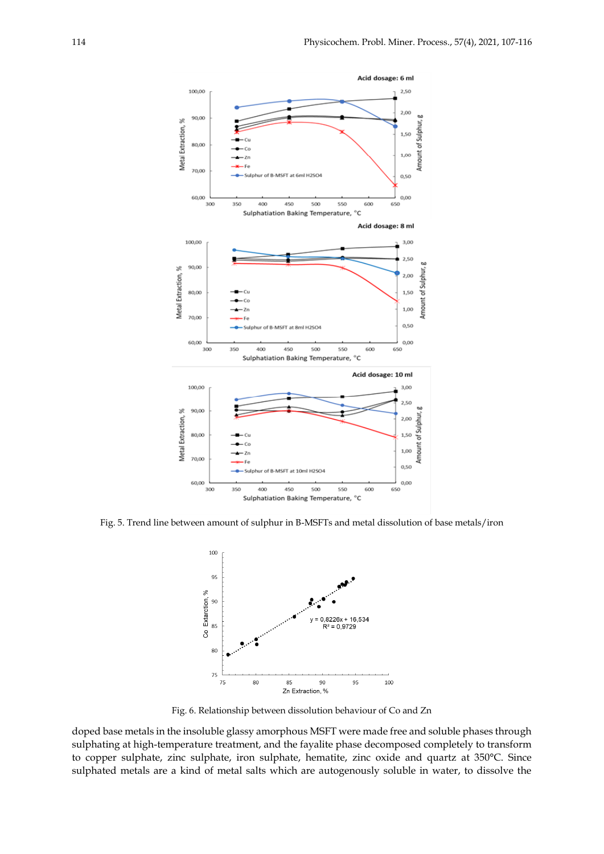

Fig. 5. Trend line between amount of sulphur in B-MSFTs and metal dissolution of base metals/iron



Fig. 6. Relationship between dissolution behaviour of Co and Zn

doped base metals in the insoluble glassy amorphous MSFT were made free and soluble phases through sulphating at high-temperature treatment, and the fayalite phase decomposed completely to transform to copper sulphate, zinc sulphate, iron sulphate, hematite, zinc oxide and quartz at 350°C. Since sulphated metals are a kind of metal salts which are autogenously soluble in water, to dissolve the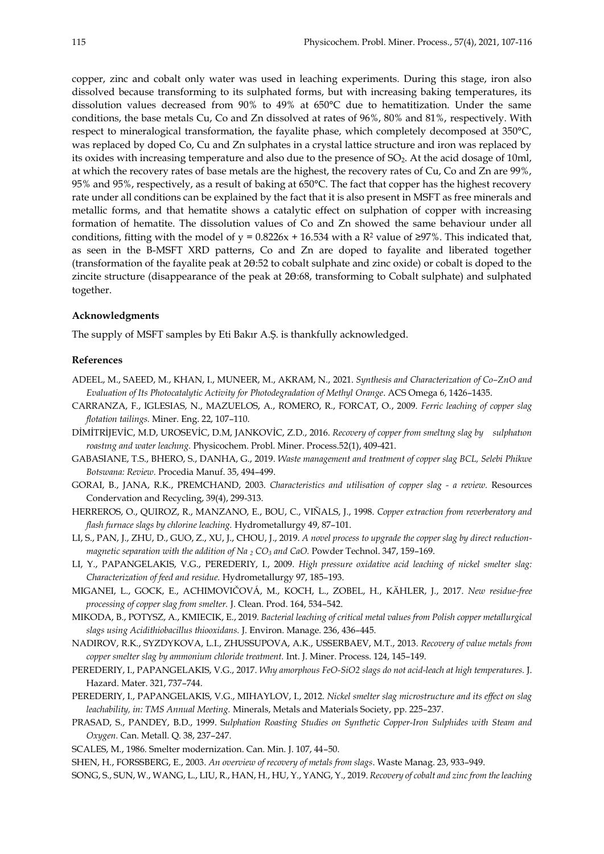copper, zinc and cobalt only water was used in leaching experiments. During this stage, iron also dissolved because transforming to its sulphated forms, but with increasing baking temperatures, its dissolution values decreased from 90% to 49% at 650°C due to hematitization. Under the same conditions, the base metals Cu, Co and Zn dissolved at rates of 96%, 80% and 81%, respectively. With respect to mineralogical transformation, the fayalite phase, which completely decomposed at 350°C, was replaced by doped Co, Cu and Zn sulphates in a crystal lattice structure and iron was replaced by its oxides with increasing temperature and also due to the presence of SO<sub>2</sub>. At the acid dosage of 10ml, at which the recovery rates of base metals are the highest, the recovery rates of Cu, Co and Zn are 99%, 95% and 95%, respectively, as a result of baking at 650°C. The fact that copper has the highest recovery rate under all conditions can be explained by the fact that it is also present in MSFT as free minerals and metallic forms, and that hematite shows a catalytic effect on sulphation of copper with increasing formation of hematite. The dissolution values of Co and Zn showed the same behaviour under all conditions, fitting with the model of  $y = 0.8226x + 16.534$  with a R<sup>2</sup> value of ≥97%. This indicated that, as seen in the B-MSFT XRD patterns, Co and Zn are doped to fayalite and liberated together (transformation of the fayalite peak at 2Ɵ:52 to cobalt sulphate and zinc oxide) or cobalt is doped to the zincite structure (disappearance of the peak at 20:68, transforming to Cobalt sulphate) and sulphated together.

#### **Acknowledgments**

The supply of MSFT samples by Eti Bakır A.Ş. is thankfully acknowledged.

## **References**

- ADEEL, M., SAEED, M., KHAN, I., MUNEER, M., AKRAM, N., 2021. *Synthesis and Characterization of Co–ZnO and Evaluation of Its Photocatalytic Activity for Photodegradation of Methyl Orange*. ACS Omega 6, 1426–1435.
- CARRANZA, F., IGLESIAS, N., MAZUELOS, A., ROMERO, R., FORCAT, O., 2009. *Ferric leaching of copper slag flotation tailings.* Miner. Eng. 22, 107–110.
- DİMİTRİJEVİC, M.D, UROSEVİC, D.M, JANKOVİC, Z.D., 2016. *Recovery of copper from smeltıng slag by sulphatıon roastıng and water leachıng.* Physicochem. Probl. Miner. Process.52(1), 409-421.
- GABASIANE, T.S., BHERO, S., DANHA, G., 2019. *Waste management and treatment of copper slag BCL, Selebi Phikwe Botswana: Review.* Procedia Manuf. 35, 494–499.
- GORAI, B., JANA, R.K., PREMCHAND, 2003. *Characteristics and utilisation of copper slag - a review.* Resources Condervation and Recycling, 39(4), 299-313.
- HERREROS, O., QUIROZ, R., MANZANO, E., BOU, C., VIÑALS, J., 1998. *Copper extraction from reverberatory and flash furnace slags by chlorine leaching.* Hydrometallurgy 49, 87–101.
- LI, S., PAN, J., ZHU, D., GUO, Z., XU, J., CHOU, J., 2019. *A novel process to upgrade the copper slag by direct reductionmagnetic separation with the addition of Na <sup>2</sup> CO<sup>3</sup> and CaO.* Powder Technol. 347, 159–169.
- LI, Y., PAPANGELAKIS, V.G., PEREDERIY, I., 2009. *High pressure oxidative acid leaching of nickel smelter slag: Characterization of feed and residue.* Hydrometallurgy 97, 185–193.
- MIGANEI, L., GOCK, E., ACHIMOVIČOVÁ, M., KOCH, L., ZOBEL, H., KÄHLER, J., 2017. *New residue-free processing of copper slag from smelter.* J. Clean. Prod. 164, 534–542.
- MIKODA, B., POTYSZ, A., KMIECIK, E., 2019. *Bacterial leaching of critical metal values from Polish copper metallurgical slags using Acidithiobacillus thiooxidans.* J. Environ. Manage. 236, 436–445.
- NADIROV, R.K., SYZDYKOVA, L.I., ZHUSSUPOVA, A.K., USSERBAEV, M.T., 2013. *Recovery of value metals from copper smelter slag by ammonium chloride treatment.* Int. J. Miner. Process. 124, 145–149.
- PEREDERIY, I., PAPANGELAKIS, V.G., 2017. *Why amorphous FeO-SiO2 slags do not acid-leach at high temperatures.* J. Hazard. Mater. 321, 737–744.
- PEREDERIY, I., PAPANGELAKIS, V.G., MIHAYLOV, I., 2012. *Nickel smelter slag microstructure and its effect on slag leachability, in: TMS Annual Meeting.* Minerals, Metals and Materials Society, pp. 225–237.
- PRASAD, S., PANDEY, B.D., 1999. S*ulphation Roasting Studies on Synthetic Copper-Iron Sulphides with Steam and Oxygen.* Can. Metall. Q. 38, 237–247.
- SCALES, M., 1986. Smelter modernization. Can. Min. J. 107, 44–50.
- SHEN, H., FORSSBERG, E., 2003. *An overview of recovery of metals from slags*. Waste Manag. 23, 933–949.
- SONG, S., SUN, W., WANG, L., LIU, R., HAN, H., HU, Y., YANG, Y., 2019. *Recovery of cobalt and zinc from the leaching*